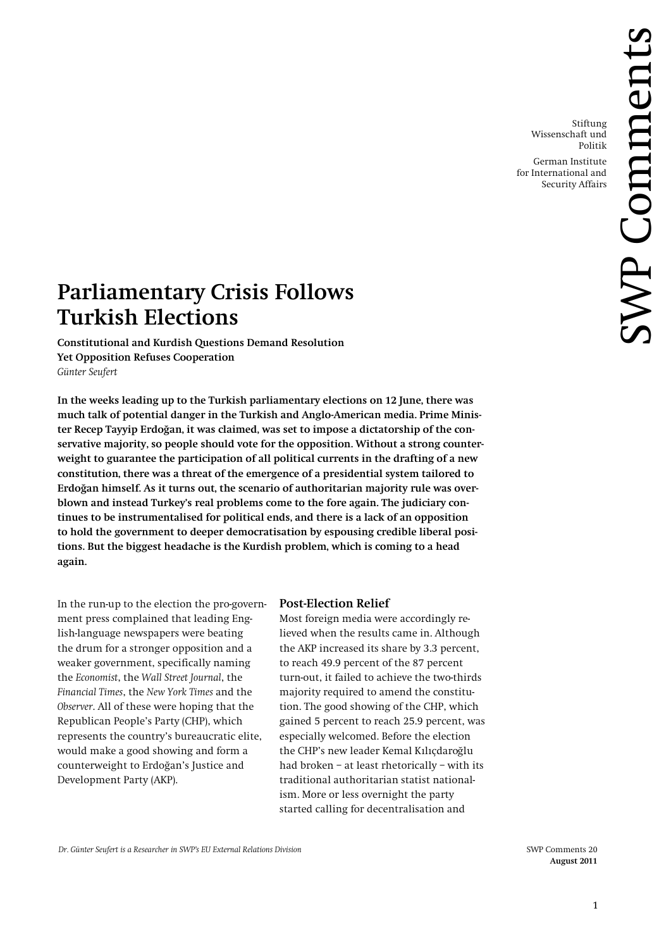Stiftung Wissenschaft und Politik German Institute for International and

Security Affairs

# **Parliamentary Crisis Follows Turkish Elections**

**Constitutional and Kurdish Questions Demand Resolution Yet Opposition Refuses Cooperation** *Günter Seufert*

**In the weeks leading up to the Turkish parliamentary elections on 12 June, there was much talk of potential danger in the Turkish and Anglo-American media. Prime Minister Recep Tayyip Erdoğan, it was claimed, was set to impose a dictatorship of the conservative majority, so people should vote for the opposition. Without a strong counterweight to guarantee the participation of all political currents in the drafting of a new constitution, there was a threat of the emergence of a presidential system tailored to Erdoğan himself. As it turns out, the scenario of authoritarian majority rule was overblown and instead Turkey's real problems come to the fore again. The judiciary continues to be instrumentalised for political ends, and there is a lack of an opposition to hold the government to deeper democratisation by espousing credible liberal positions. But the biggest headache is the Kurdish problem, which is coming to a head again.**

In the run-up to the election the pro-government press complained that leading English-language newspapers were beating the drum for a stronger opposition and a weaker government, specifically naming the *Economist*, the *Wall Street Journal*, the *Financial Times*, the *New York Times* and the *Observer*. All of these were hoping that the Republican People's Party (CHP), which represents the country's bureaucratic elite, would make a good showing and form a counterweight to Erdoğan's Justice and Development Party (AKP).

## **Post-Election Relief**

Most foreign media were accordingly relieved when the results came in. Although the AKP increased its share by 3.3 percent, to reach 49.9 percent of the 87 percent turn-out, it failed to achieve the two-thirds majority required to amend the constitution. The good showing of the CHP, which gained 5 percent to reach 25.9 percent, was especially welcomed. Before the election the CHP's new leader Kemal Kılıçdaroğlu had broken – at least rhetorically – with its traditional authoritarian statist nationalism. More or less overnight the party started calling for decentralisation and

**August 2011**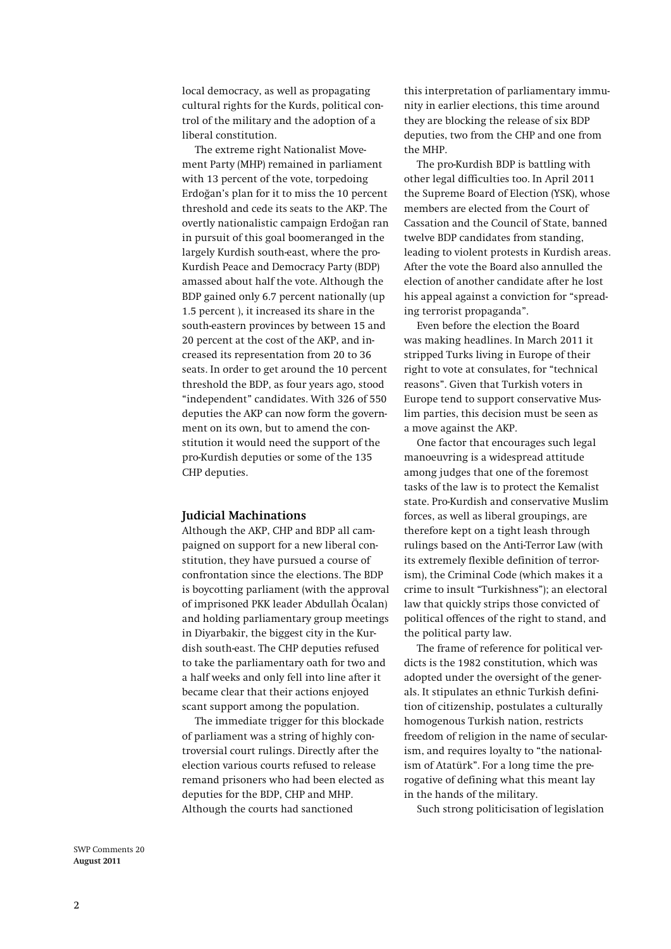local democracy, as well as propagating cultural rights for the Kurds, political control of the military and the adoption of a liberal constitution.

The extreme right Nationalist Movement Party (MHP) remained in parliament with 13 percent of the vote, torpedoing Erdoğan's plan for it to miss the 10 percent threshold and cede its seats to the AKP. The overtly nationalistic campaign Erdoğan ran in pursuit of this goal boomeranged in the largely Kurdish south-east, where the pro-Kurdish Peace and Democracy Party (BDP) amassed about half the vote. Although the BDP gained only 6.7 percent nationally (up 1.5 percent ), it increased its share in the south-eastern provinces by between 15 and 20 percent at the cost of the AKP, and increased its representation from 20 to 36 seats. In order to get around the 10 percent threshold the BDP, as four years ago, stood "independent" candidates. With 326 of 550 deputies the AKP can now form the government on its own, but to amend the constitution it would need the support of the pro-Kurdish deputies or some of the 135 CHP deputies.

#### **Judicial Machinations**

Although the AKP, CHP and BDP all campaigned on support for a new liberal constitution, they have pursued a course of confrontation since the elections. The BDP is boycotting parliament (with the approval of imprisoned PKK leader Abdullah Öcalan) and holding parliamentary group meetings in Diyarbakir, the biggest city in the Kurdish south-east. The CHP deputies refused to take the parliamentary oath for two and a half weeks and only fell into line after it became clear that their actions enjoyed scant support among the population.

The immediate trigger for this blockade of parliament was a string of highly controversial court rulings. Directly after the election various courts refused to release remand prisoners who had been elected as deputies for the BDP, CHP and MHP. Although the courts had sanctioned

this interpretation of parliamentary immunity in earlier elections, this time around they are blocking the release of six BDP deputies, two from the CHP and one from the MHP.

The pro-Kurdish BDP is battling with other legal difficulties too. In April 2011 the Supreme Board of Election (YSK), whose members are elected from the Court of Cassation and the Council of State, banned twelve BDP candidates from standing, leading to violent protests in Kurdish areas. After the vote the Board also annulled the election of another candidate after he lost his appeal against a conviction for "spreading terrorist propaganda".

Even before the election the Board was making headlines. In March 2011 it stripped Turks living in Europe of their right to vote at consulates, for "technical reasons". Given that Turkish voters in Europe tend to support conservative Muslim parties, this decision must be seen as a move against the AKP.

One factor that encourages such legal manoeuvring is a widespread attitude among judges that one of the foremost tasks of the law is to protect the Kemalist state. Pro-Kurdish and conservative Muslim forces, as well as liberal groupings, are therefore kept on a tight leash through rulings based on the Anti-Terror Law (with its extremely flexible definition of terrorism), the Criminal Code (which makes it a crime to insult "Turkishness"); an electoral law that quickly strips those convicted of political offences of the right to stand, and the political party law.

The frame of reference for political verdicts is the 1982 constitution, which was adopted under the oversight of the generals. It stipulates an ethnic Turkish definition of citizenship, postulates a culturally homogenous Turkish nation, restricts freedom of religion in the name of secularism, and requires loyalty to "the nationalism of Atatürk". For a long time the prerogative of defining what this meant lay in the hands of the military.

Such strong politicisation of legislation

SWP Comments 20 **August 2011**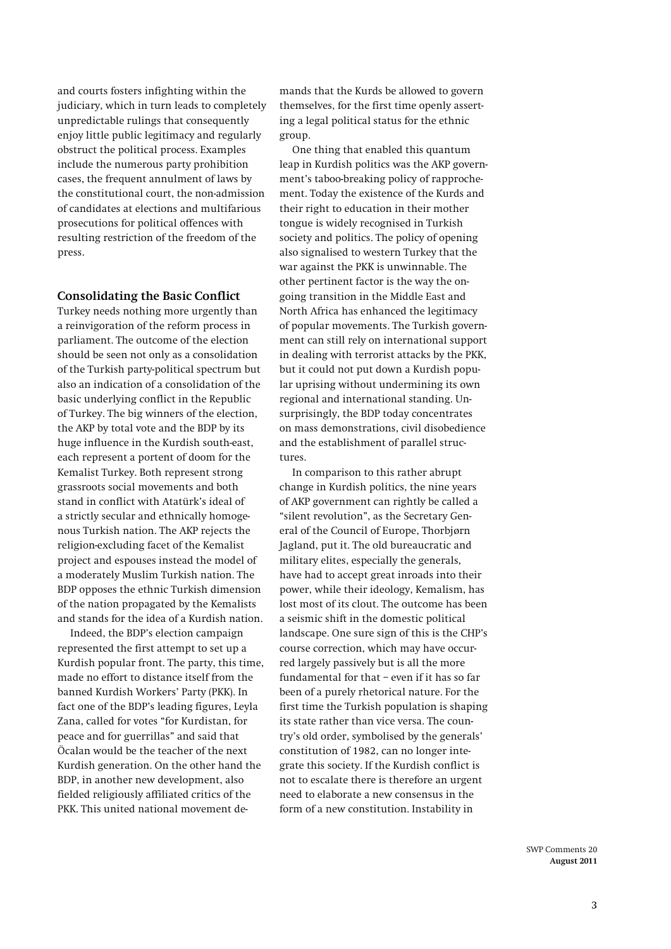and courts fosters infighting within the judiciary, which in turn leads to completely unpredictable rulings that consequently enjoy little public legitimacy and regularly obstruct the political process. Examples include the numerous party prohibition cases, the frequent annulment of laws by the constitutional court, the non-admission of candidates at elections and multifarious prosecutions for political offences with resulting restriction of the freedom of the press.

# **Consolidating the Basic Conflict**

Turkey needs nothing more urgently than a reinvigoration of the reform process in parliament. The outcome of the election should be seen not only as a consolidation of the Turkish party-political spectrum but also an indication of a consolidation of the basic underlying conflict in the Republic of Turkey. The big winners of the election, the AKP by total vote and the BDP by its huge influence in the Kurdish south-east, each represent a portent of doom for the Kemalist Turkey. Both represent strong grassroots social movements and both stand in conflict with Atatürk's ideal of a strictly secular and ethnically homogenous Turkish nation. The AKP rejects the religion-excluding facet of the Kemalist project and espouses instead the model of a moderately Muslim Turkish nation. The BDP opposes the ethnic Turkish dimension of the nation propagated by the Kemalists and stands for the idea of a Kurdish nation.

Indeed, the BDP's election campaign represented the first attempt to set up a Kurdish popular front. The party, this time, made no effort to distance itself from the banned Kurdish Workers' Party (PKK). In fact one of the BDP's leading figures, Leyla Zana, called for votes "for Kurdistan, for peace and for guerrillas" and said that Öcalan would be the teacher of the next Kurdish generation. On the other hand the BDP, in another new development, also fielded religiously affiliated critics of the PKK. This united national movement de-

mands that the Kurds be allowed to govern themselves, for the first time openly asserting a legal political status for the ethnic group.

One thing that enabled this quantum leap in Kurdish politics was the AKP government's taboo-breaking policy of rapprochement. Today the existence of the Kurds and their right to education in their mother tongue is widely recognised in Turkish society and politics. The policy of opening also signalised to western Turkey that the war against the PKK is unwinnable. The other pertinent factor is the way the ongoing transition in the Middle East and North Africa has enhanced the legitimacy of popular movements. The Turkish government can still rely on international support in dealing with terrorist attacks by the PKK, but it could not put down a Kurdish popular uprising without undermining its own regional and international standing. Unsurprisingly, the BDP today concentrates on mass demonstrations, civil disobedience and the establishment of parallel structures.

In comparison to this rather abrupt change in Kurdish politics, the nine years of AKP government can rightly be called a "silent revolution", as the Secretary General of the Council of Europe, Thorbjørn Jagland, put it. The old bureaucratic and military elites, especially the generals, have had to accept great inroads into their power, while their ideology, Kemalism, has lost most of its clout. The outcome has been a seismic shift in the domestic political landscape. One sure sign of this is the CHP's course correction, which may have occurred largely passively but is all the more fundamental for that – even if it has so far been of a purely rhetorical nature. For the first time the Turkish population is shaping its state rather than vice versa. The country's old order, symbolised by the generals' constitution of 1982, can no longer integrate this society. If the Kurdish conflict is not to escalate there is therefore an urgent need to elaborate a new consensus in the form of a new constitution. Instability in

> SWP Comments 20 **August 2011**